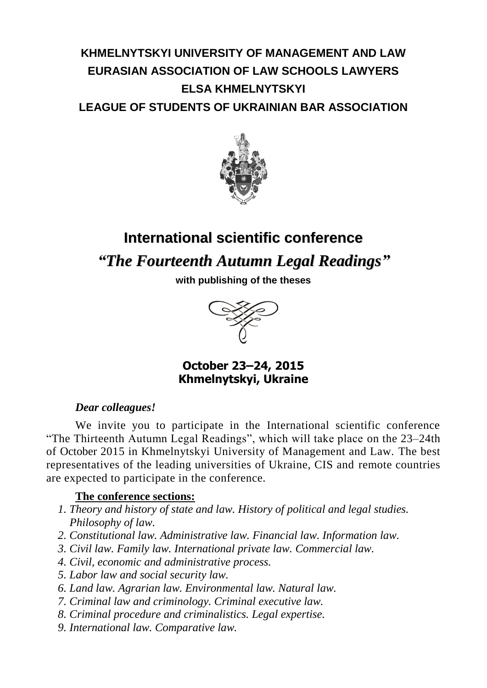## **KHMELNYTSKYI UNIVERSITY OF MANAGEMENT AND LAW EURASIAN ASSOCIATION OF LAW SCHOOLS LAWYERS ELSA KHMELNYTSKYI LEAGUE OF STUDENTS OF UKRAINIAN BAR ASSOCIATION**



# **International scientific conference** *"The Fourteenth Autumn Legal Readings"*

**with publishing of the theses**



**October 23–24, 2015 Khmelnytskyi, Ukraine**

#### *Dear colleagues!*

We invite you to participate in the International scientific conference "The Thirteenth Autumn Legal Readings", which will take place on the 23–24th of October 2015 in Khmelnytskyi University of Management and Law. The best representatives of the leading universities of Ukraine, CIS and remote countries are expected to participate in the conference.

#### **The conference sections:**

- *1. Theory and history of state and law. History of political and legal studies. Philosophy of law.*
- *2. Constitutional law. Administrative law. Financial law. Information law.*
- *3. Civil law. Family law. International private law. Commercial law.*
- *4. Civil, economic and administrative process.*
- *5. Labor law and social security law.*
- *6. Land law. Agrarian law. Environmental law. Natural law.*
- *7. Criminal law and criminology. Criminal executive law.*
- *8. Criminal procedure and criminalistics. Legal expertise.*
- *9. International law. Comparative law.*